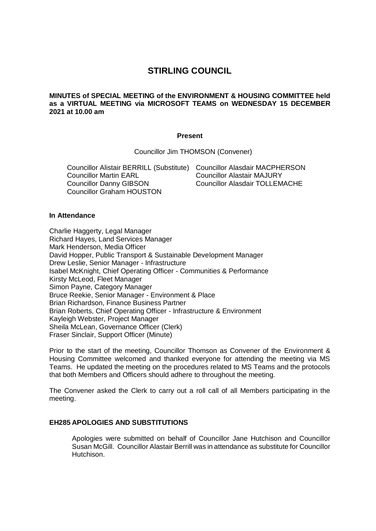# **STIRLING COUNCIL**

# **MINUTES of SPECIAL MEETING of the ENVIRONMENT & HOUSING COMMITTEE held as a VIRTUAL MEETING via MICROSOFT TEAMS on WEDNESDAY 15 DECEMBER 2021 at 10.00 am**

## **Present**

Councillor Jim THOMSON (Convener)

Councillor Alistair BERRILL (Substitute) Councillor Alasdair MACPHERSON Councillor Martin EARL Councillor Danny GIBSON Councillor Graham HOUSTON Councillor Alastair MAJURY Councillor Alasdair TOLLEMACHE

#### **In Attendance**

Charlie Haggerty, Legal Manager Richard Hayes, Land Services Manager Mark Henderson, Media Officer David Hopper, Public Transport & Sustainable Development Manager Drew Leslie, Senior Manager - Infrastructure Isabel McKnight, Chief Operating Officer - Communities & Performance Kirsty McLeod, Fleet Manager Simon Payne, Category Manager Bruce Reekie, Senior Manager - Environment & Place Brian Richardson, Finance Business Partner Brian Roberts, Chief Operating Officer - Infrastructure & Environment Kayleigh Webster, Project Manager Sheila McLean, Governance Officer (Clerk) Fraser Sinclair, Support Officer (Minute)

Prior to the start of the meeting, Councillor Thomson as Convener of the Environment & Housing Committee welcomed and thanked everyone for attending the meeting via MS Teams. He updated the meeting on the procedures related to MS Teams and the protocols that both Members and Officers should adhere to throughout the meeting.

The Convener asked the Clerk to carry out a roll call of all Members participating in the meeting.

#### **EH285 APOLOGIES AND SUBSTITUTIONS**

Apologies were submitted on behalf of Councillor Jane Hutchison and Councillor Susan McGill. Councillor Alastair Berrill was in attendance as substitute for Councillor Hutchison.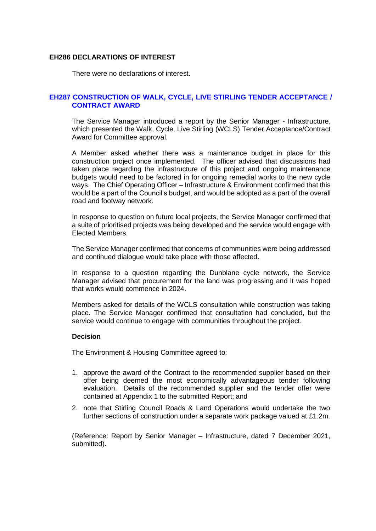# **EH286 DECLARATIONS OF INTEREST**

There were no declarations of interest.

# **EH287 CONSTRUCTION OF WALK, CYCLE, LIVE STIRLING TENDER ACCEPTANCE / CONTRACT AWARD**

The Service Manager introduced a report by the Senior Manager - Infrastructure, which presented the Walk, Cycle, Live Stirling (WCLS) Tender Acceptance/Contract Award for Committee approval.

A Member asked whether there was a maintenance budget in place for this construction project once implemented. The officer advised that discussions had taken place regarding the infrastructure of this project and ongoing maintenance budgets would need to be factored in for ongoing remedial works to the new cycle ways. The Chief Operating Officer – Infrastructure & Environment confirmed that this would be a part of the Council's budget, and would be adopted as a part of the overall road and footway network.

In response to question on future local projects, the Service Manager confirmed that a suite of prioritised projects was being developed and the service would engage with Elected Members.

The Service Manager confirmed that concerns of communities were being addressed and continued dialogue would take place with those affected.

In response to a question regarding the Dunblane cycle network, the Service Manager advised that procurement for the land was progressing and it was hoped that works would commence in 2024.

Members asked for details of the WCLS consultation while construction was taking place. The Service Manager confirmed that consultation had concluded, but the service would continue to engage with communities throughout the project.

# **Decision**

The Environment & Housing Committee agreed to:

- 1. approve the award of the Contract to the recommended supplier based on their offer being deemed the most economically advantageous tender following evaluation. Details of the recommended supplier and the tender offer were contained at Appendix 1 to the submitted Report; and
- 2. note that Stirling Council Roads & Land Operations would undertake the two further sections of construction under a separate work package valued at £1.2m.

(Reference: Report by Senior Manager – Infrastructure, dated 7 December 2021, submitted).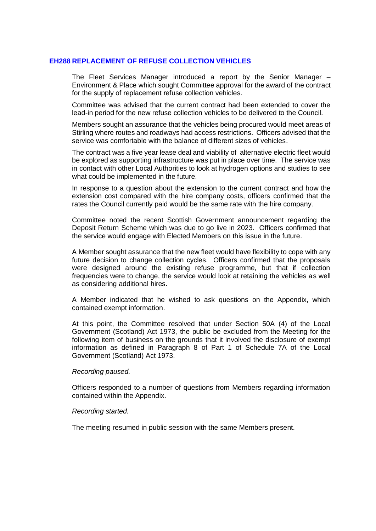# **EH288 REPLACEMENT OF REFUSE COLLECTION VEHICLES**

The Fleet Services Manager introduced a report by the Senior Manager – Environment & Place which sought Committee approval for the award of the contract for the supply of replacement refuse collection vehicles.

Committee was advised that the current contract had been extended to cover the lead-in period for the new refuse collection vehicles to be delivered to the Council.

Members sought an assurance that the vehicles being procured would meet areas of Stirling where routes and roadways had access restrictions. Officers advised that the service was comfortable with the balance of different sizes of vehicles.

The contract was a five year lease deal and viability of alternative electric fleet would be explored as supporting infrastructure was put in place over time. The service was in contact with other Local Authorities to look at hydrogen options and studies to see what could be implemented in the future.

In response to a question about the extension to the current contract and how the extension cost compared with the hire company costs, officers confirmed that the rates the Council currently paid would be the same rate with the hire company.

Committee noted the recent Scottish Government announcement regarding the Deposit Return Scheme which was due to go live in 2023. Officers confirmed that the service would engage with Elected Members on this issue in the future.

A Member sought assurance that the new fleet would have flexibility to cope with any future decision to change collection cycles. Officers confirmed that the proposals were designed around the existing refuse programme, but that if collection frequencies were to change, the service would look at retaining the vehicles as well as considering additional hires.

A Member indicated that he wished to ask questions on the Appendix, which contained exempt information.

At this point, the Committee resolved that under Section 50A (4) of the Local Government (Scotland) Act 1973, the public be excluded from the Meeting for the following item of business on the grounds that it involved the disclosure of exempt information as defined in Paragraph 8 of Part 1 of Schedule 7A of the Local Government (Scotland) Act 1973.

#### *Recording paused.*

Officers responded to a number of questions from Members regarding information contained within the Appendix.

# *Recording started.*

The meeting resumed in public session with the same Members present.